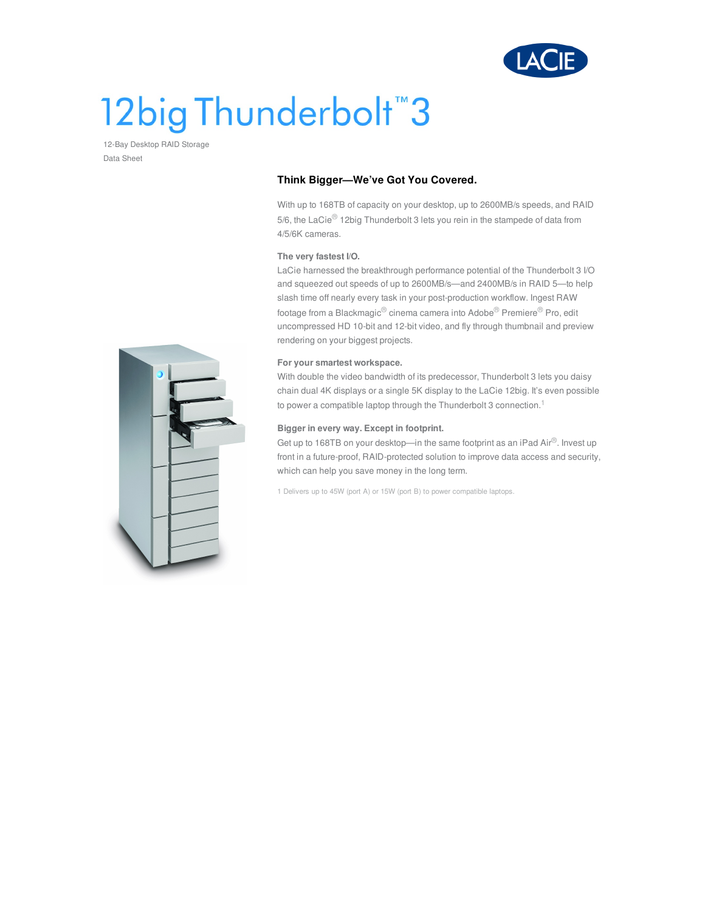

# 12big Thunderbolt<sup>"</sup>3

12-Bay Desktop RAID Storage Data Sheet

## **Think Bigger—We've Got You Covered.**

With up to 168TB of capacity on your desktop, up to 2600MB/s speeds, and RAID 5/6, the LaCie® 12big Thunderbolt 3 lets you rein in the stampede of data from 4/5/6K cameras.

## **The very fastest I/O.**

LaCie harnessed the breakthrough performance potential of the Thunderbolt 3 I/O and squeezed out speeds of up to 2600MB/s—and 2400MB/s in RAID 5—to help slash time off nearly every task in your post-production workflow. Ingest RAW footage from a Blackmagic® cinema camera into Adobe® Premiere® Pro, edit uncompressed HD 10-bit and 12-bit video, and fly through thumbnail and preview rendering on your biggest projects.

## **For your smartest workspace.**

With double the video bandwidth of its predecessor, Thunderbolt 3 lets you daisy chain dual 4K displays or a single 5K display to the LaCie 12big. It's even possible to power a compatible laptop through the Thunderbolt 3 connection.<sup>1</sup>

### **Bigger in every way. Except in footprint.**

Get up to 168TB on your desktop—in the same footprint as an iPad Air®. Invest up front in a future-proof, RAID-protected solution to improve data access and security, which can help you save money in the long term.

1 Delivers up to 45W (port A) or 15W (port B) to power compatible laptops.